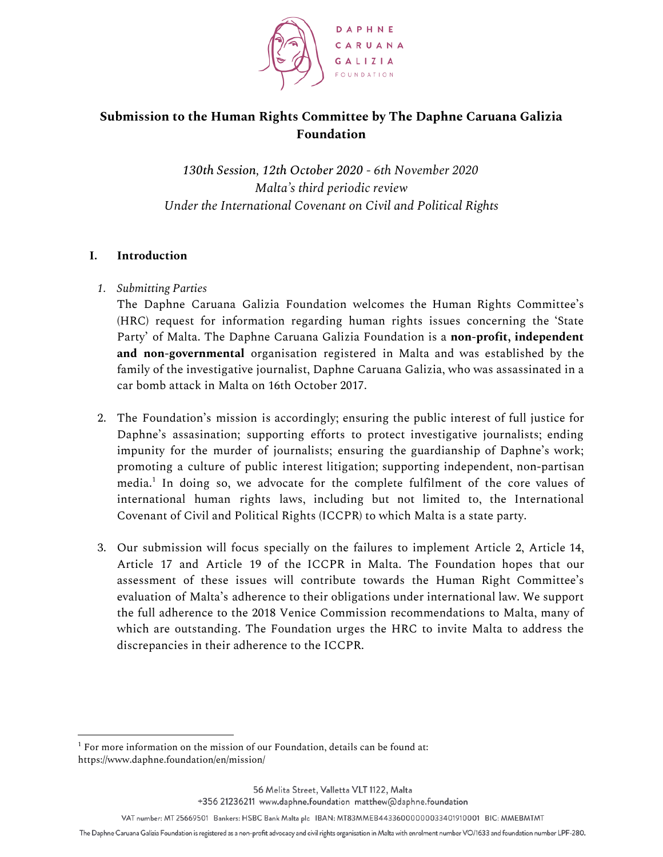

# **Submission to the Human Rights Committee by The Daphne Caruana Galizia Foundation**

*130th Session, 12th October 2020 - 6th November 2020 Malta's third periodic review Under the International Covenant on Civil and Political Rights*

## **I. Introduction**

# *1. Submitting Parties*

The Daphne Caruana Galizia Foundation welcomes the Human Rights Committee's (HRC) request for information regarding human rights issues concerning the 'State Party' of Malta. The Daphne Caruana Galizia Foundation is a **non-profit, independent and non-governmental** organisation registered in Malta and was established by the family of the investigative journalist, Daphne Caruana Galizia, who was assassinated in a car bomb attack in Malta on 16th October 2017.

- 2. The Foundation's mission is accordingly; ensuring the public interest of full justice for Daphne's assasination; supporting efforts to protect investigative journalists; ending impunity for the murder of journalists; ensuring the guardianship of Daphne's work; promoting a culture of public interest litigation; supporting independent, non-partisan media. $^1$  In doing so, we advocate for the complete fulfilment of the core values of international human rights laws, including but not limited to, the International Covenant of Civil and Political Rights (ICCPR) to which Malta is a state party.
- 3. Our submission will focus specially on the failures to implement Article 2, Article 14, Article 17 and Article 19 of the ICCPR in Malta. The Foundation hopes that our assessment of these issues will contribute towards the Human Right Committee's evaluation of Malta's adherence to their obligations under international law. We support the full adherence to the 2018 Venice Commission recommendations to Malta, many of which are outstanding. The Foundation urges the HRC to invite Malta to address the discrepancies in their adherence to the ICCPR.

 $1$  For more information on the mission of our Foundation, details can be found at: https://www.daphne.foundation/en/mission/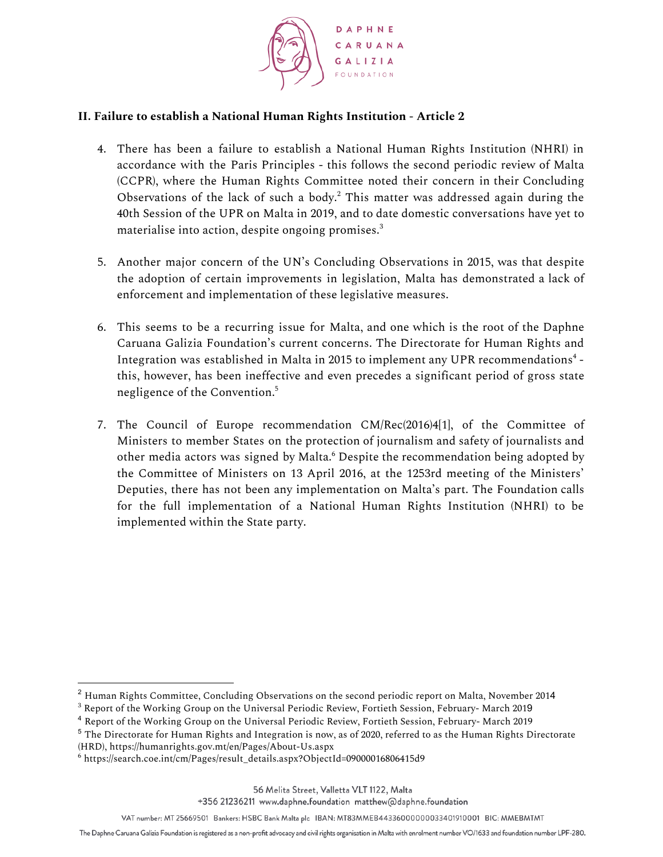

## **II. Failure to establish a National Human Rights Institution - Article 2**

- 4. There has been a failure to establish a National Human Rights Institution (NHRI) in accordance with the Paris Principles - this follows the second periodic review of Malta (CCPR), where the Human Rights Committee noted their concern in their Concluding Observations of the lack of such a body. $2$  This matter was addressed again during the 40th Session of the UPR on Malta in 2019, and to date domestic conversations have yet to materialise into action, despite ongoing promises. $^{\rm 3}$
- 5. Another major concern of the UN's Concluding Observations in 2015, was that despite the adoption of certain improvements in legislation, Malta has demonstrated a lack of enforcement and implementation of these legislative measures.
- 6. This seems to be a recurring issue for Malta, and one which is the root of the Daphne Caruana Galizia Foundation's current concerns. The Directorate for Human Rights and Integration was established in Malta in 2015 to implement any UPR recommendations $^{\rm 4}$  this, however, has been ineffective and even precedes a significant period of gross state negligence of the Convention. 5
- 7. The Council of Europe recommendation CM/Rec(2016)4[1], of the Committee of Ministers to member States on the protection of journalism and safety of journalists and other media actors was signed by Malta.<sup>6</sup> Despite the recommendation being adopted by the Committee of Ministers on 13 April 2016, at the 1253rd meeting of the Ministers' Deputies, there has not been any implementation on Malta's part. The Foundation calls for the full implementation of a National Human Rights Institution (NHRI) to be implemented within the State party.

<sup>2</sup> Human Rights Committee, Concluding Observations on the second periodic report on Malta, November 2014

<sup>3</sup> Report of the Working Group on the Universal Periodic Review, Fortieth Session, February- March 2019

<sup>4</sup> Report of the Working Group on the Universal Periodic Review, Fortieth Session, February- March 2019

<sup>5</sup> The Directorate for Human Rights and Integration is now, as of 2020, referred to as the Human Rights Directorate (HRD), https://humanrights.gov.mt/en/Pages/About-Us.aspx

<sup>6</sup> https://search.coe.int/cm/Pages/result\_details.aspx?ObjectId=09000016806415d9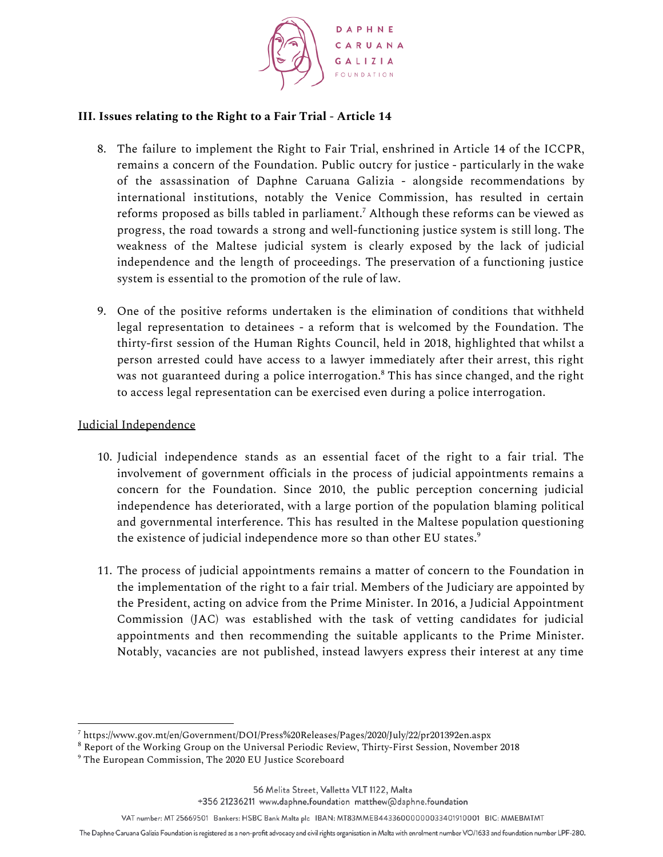

# **III. Issues relating to the Right to a Fair Trial - Article 14**

- 8. The failure to implement the Right to Fair Trial, enshrined in Article 14 of the ICCPR, remains a concern of the Foundation. Public outcry for justice - particularly in the wake of the assassination of Daphne Caruana Galizia - alongside recommendations by international institutions, notably the Venice Commission, has resulted in certain reforms proposed as bills tabled in parliament. $^7$  Although these reforms can be viewed as progress, the road towards a strong and well-functioning justice system is still long. The weakness of the Maltese judicial system is clearly exposed by the lack of judicial independence and the length of proceedings. The preservation of a functioning justice system is essential to the promotion of the rule of law.
- 9. One of the positive reforms undertaken is the elimination of conditions that withheld legal representation to detainees - a reform that is welcomed by the Foundation. The thirty-first session of the Human Rights Council, held in 2018, highlighted that whilst a person arrested could have access to a lawyer immediately after their arrest, this right was not guaranteed during a police interrogation. $^{\rm 8}$  This has since changed, and the right to access legal representation can be exercised even during a police interrogation.

#### Judicial Independence

- 10. Judicial independence stands as an essential facet of the right to a fair trial. The involvement of government officials in the process of judicial appointments remains a concern for the Foundation. Since 2010, the public perception concerning judicial independence has deteriorated, with a large portion of the population blaming political and governmental interference. This has resulted in the Maltese population questioning the existence of judicial independence more so than other EU states. $^{\circ}$
- 11. The process of judicial appointments remains a matter of concern to the Foundation in the implementation of the right to a fair trial. Members of the Judiciary are appointed by the President, acting on advice from the Prime Minister. In 2016, a Judicial Appointment Commission (JAC) was established with the task of vetting candidates for judicial appointments and then recommending the suitable applicants to the Prime Minister. Notably, vacancies are not published, instead lawyers express their interest at any time

+356 21236211 www.daphne.foundation matthew@daphne.foundation

VAT number: MT 25669501 Bankers: HSBC Bank Malta plc IBAN: MT83MMEB44336000000033401910001 BIC: MMEBMTMT

<sup>7</sup> https://www.gov.mt/en/Government/DOI/Press%20Releases/Pages/2020/July/22/pr201392en.aspx

<sup>8</sup> Report of the Working Group on the Universal Periodic Review, Thirty-First Session, November 2018

<sup>9</sup> The European Commission, The 2020 EU Justice Scoreboard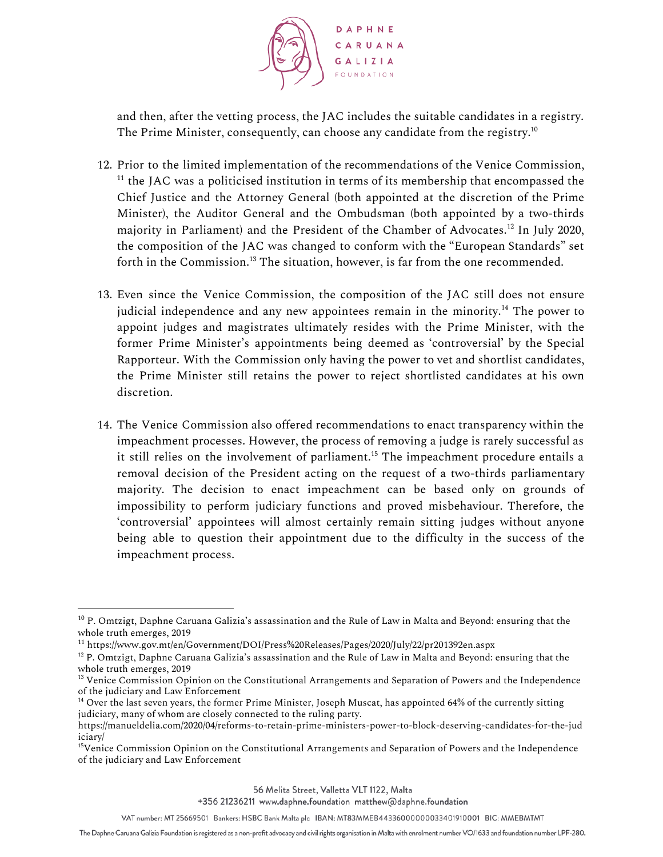

and then, after the vetting process, the JAC includes the suitable candidates in a registry. The Prime Minister, consequently, can choose any candidate from the registry. $^{10}$ 

- 12. Prior to the limited implementation of the recommendations of the Venice Commission,  $11$  the JAC was a politicised institution in terms of its membership that encompassed the Chief Justice and the Attorney General (both appointed at the discretion of the Prime Minister), the Auditor General and the Ombudsman (both appointed by a two-thirds majority in Parliament) and the President of the Chamber of Advocates. $^{12}$  In July 2020, the composition of the JAC was changed to conform with the "European Standards" set forth in the Commission. $^{13}$  The situation, however, is far from the one recommended.
- 13. Even since the Venice Commission, the composition of the JAC still does not ensure judicial independence and any new appointees remain in the minority. $^{14}$  The power to appoint judges and magistrates ultimately resides with the Prime Minister, with the former Prime Minister's appointments being deemed as 'controversial' by the Special Rapporteur. With the Commission only having the power to vet and shortlist candidates, the Prime Minister still retains the power to reject shortlisted candidates at his own discretion.
- 14. The Venice Commission also offered recommendations to enact transparency within the impeachment processes. However, the process of removing a judge is rarely successful as it still relies on the involvement of parliament.<sup>15</sup> The impeachment procedure entails a removal decision of the President acting on the request of a two-thirds parliamentary majority. The decision to enact impeachment can be based only on grounds of impossibility to perform judiciary functions and proved misbehaviour. Therefore, the 'controversial' appointees will almost certainly remain sitting judges without anyone being able to question their appointment due to the difficulty in the success of the impeachment process.

 $10$  P. Omtzigt, Daphne Caruana Galizia's assassination and the Rule of Law in Malta and Beyond: ensuring that the whole truth emerges, 2019

<sup>11</sup> https://www.gov.mt/en/Government/DOI/Press%20Releases/Pages/2020/July/22/pr201392en.aspx

 $12$  P. Omtzigt, Daphne Caruana Galizia's assassination and the Rule of Law in Malta and Beyond: ensuring that the whole truth emerges, 2019

<sup>&</sup>lt;sup>13</sup> Venice Commission Opinion on the Constitutional Arrangements and Separation of Powers and the Independence of the judiciary and Law Enforcement

<sup>&</sup>lt;sup>14</sup> Over the last seven years, the former Prime Minister, Joseph Muscat, has appointed 64% of the currently sitting judiciary, many of whom are closely connected to the ruling party.

https://manueldelia.com/2020/04/reforms-to-retain-prime-ministers-power-to-block-deserving-candidates-for-the-jud iciary/

<sup>&</sup>lt;sup>15</sup>Venice Commission Opinion on the Constitutional Arrangements and Separation of Powers and the Independence of the judiciary and Law Enforcement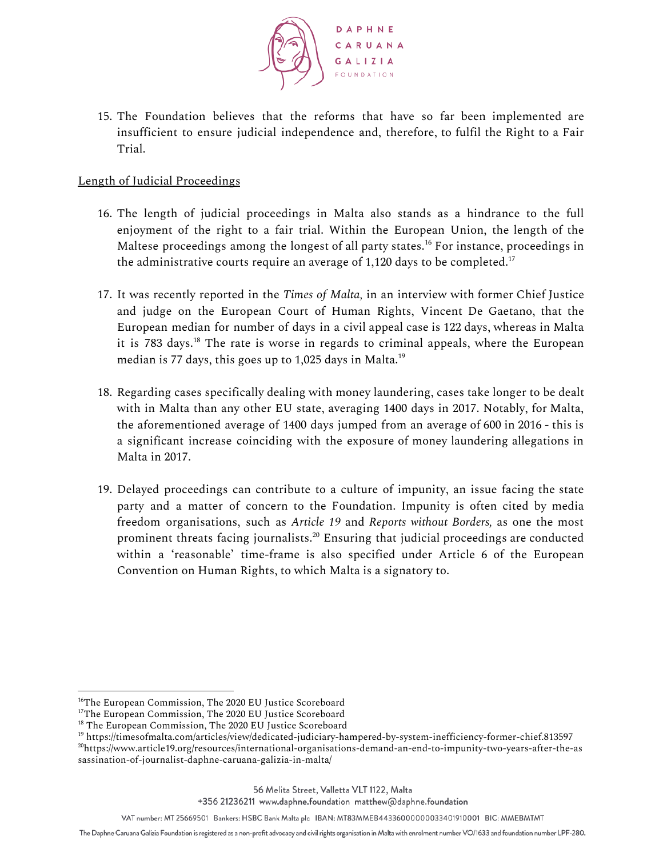

15. The Foundation believes that the reforms that have so far been implemented are insufficient to ensure judicial independence and, therefore, to fulfil the Right to a Fair Trial.

## Length of Judicial Proceedings

- 16. The length of judicial proceedings in Malta also stands as a hindrance to the full enjoyment of the right to a fair trial. Within the European Union, the length of the Maltese proceedings among the longest of all party states.<sup>16</sup> For instance, proceedings in the administrative courts require an average of 1,120 days to be completed. $^{17}$
- 17. It was recently reported in the *Times of Malta,* in an interview with former Chief Justice and judge on the European Court of Human Rights, Vincent De Gaetano, that the European median for number of days in a civil appeal case is 122 days, whereas in Malta it is 783 days.<sup>18</sup> The rate is worse in regards to criminal appeals, where the European median is 77 days, this goes up to 1,025 days in Malta. 19
- 18. Regarding cases specifically dealing with money laundering, cases take longer to be dealt with in Malta than any other EU state, averaging 1400 days in 2017. Notably, for Malta, the aforementioned average of 1400 days jumped from an average of 600 in 2016 - this is a significant increase coinciding with the exposure of money laundering allegations in Malta in 2017.
- 19. Delayed proceedings can contribute to a culture of impunity, an issue facing the state party and a matter of concern to the Foundation. Impunity is often cited by media freedom organisations, such as *Article 19* and *Reports without Borders,* as one the most prominent threats facing journalists. $^{20}$  Ensuring that judicial proceedings are conducted within a 'reasonable' time-frame is also specified under Article 6 of the European Convention on Human Rights, to which Malta is a signatory to.

<sup>&</sup>lt;sup>16</sup>The European Commission, The 2020 EU Justice Scoreboard

<sup>&</sup>lt;sup>17</sup>The European Commission, The 2020 EU Justice Scoreboard

<sup>&</sup>lt;sup>18</sup> The European Commission, The 2020 EU Justice Scoreboard

<sup>19</sup> https://timesofmalta.com/articles/view/dedicated-judiciary-hampered-by-system-inefficiency-former-chief.813597 <sup>20</sup>https://www.article19.org/resources/international-organisations-demand-an-end-to-impunity-two-years-after-the-as sassination-of-journalist-daphne-caruana-galizia-in-malta/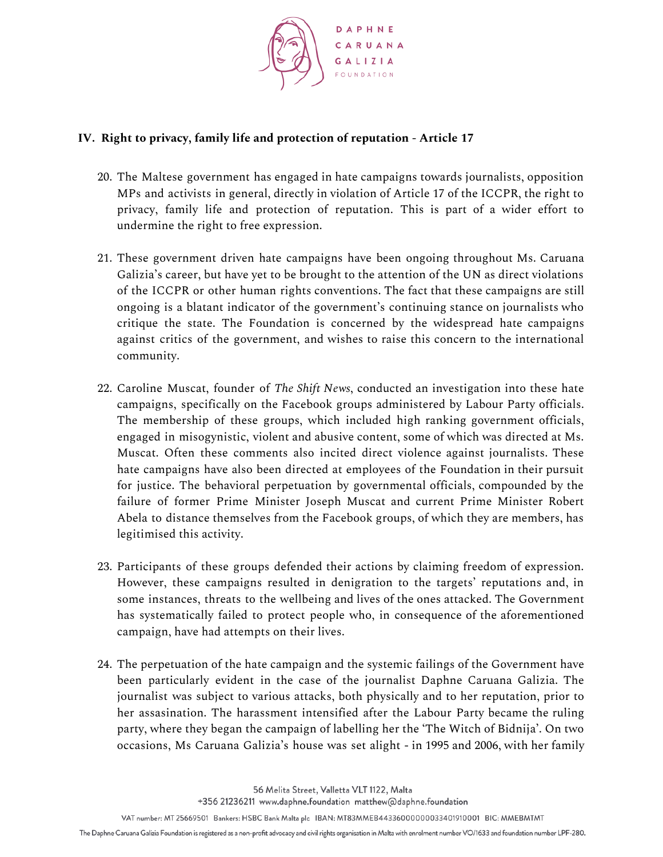

#### **IV. Right to privacy, family life and protection of reputation - Article 17**

- 20. The Maltese government has engaged in hate campaigns towards journalists, opposition MPs and activists in general, directly in violation of Article 17 of the ICCPR, the right to privacy, family life and protection of reputation. This is part of a wider effort to undermine the right to free expression.
- 21. These government driven hate campaigns have been ongoing throughout Ms. Caruana Galizia's career, but have yet to be brought to the attention of the UN as direct violations of the ICCPR or other human rights conventions. The fact that these campaigns are still ongoing is a blatant indicator of the government's continuing stance on journalists who critique the state. The Foundation is concerned by the widespread hate campaigns against critics of the government, and wishes to raise this concern to the international community.
- 22. Caroline Muscat, founder of *The Shift News*, conducted an investigation into these hate campaigns, specifically on the Facebook groups administered by Labour Party officials. The membership of these groups, which included high ranking government officials, engaged in misogynistic, violent and abusive content, some of which was directed at Ms. Muscat. Often these comments also incited direct violence against journalists. These hate campaigns have also been directed at employees of the Foundation in their pursuit for justice. The behavioral perpetuation by governmental officials, compounded by the failure of former Prime Minister Joseph Muscat and current Prime Minister Robert Abela to distance themselves from the Facebook groups, of which they are members, has legitimised this activity.
- 23. Participants of these groups defended their actions by claiming freedom of expression. However, these campaigns resulted in denigration to the targets' reputations and, in some instances, threats to the wellbeing and lives of the ones attacked. The Government has systematically failed to protect people who, in consequence of the aforementioned campaign, have had attempts on their lives.
- 24. The perpetuation of the hate campaign and the systemic failings of the Government have been particularly evident in the case of the journalist Daphne Caruana Galizia. The journalist was subject to various attacks, both physically and to her reputation, prior to her assasination. The harassment intensified after the Labour Party became the ruling party, where they began the campaign of labelling her the 'The Witch of Bidnija'. On two occasions, Ms Caruana Galizia's house was set alight - in 1995 and 2006, with her family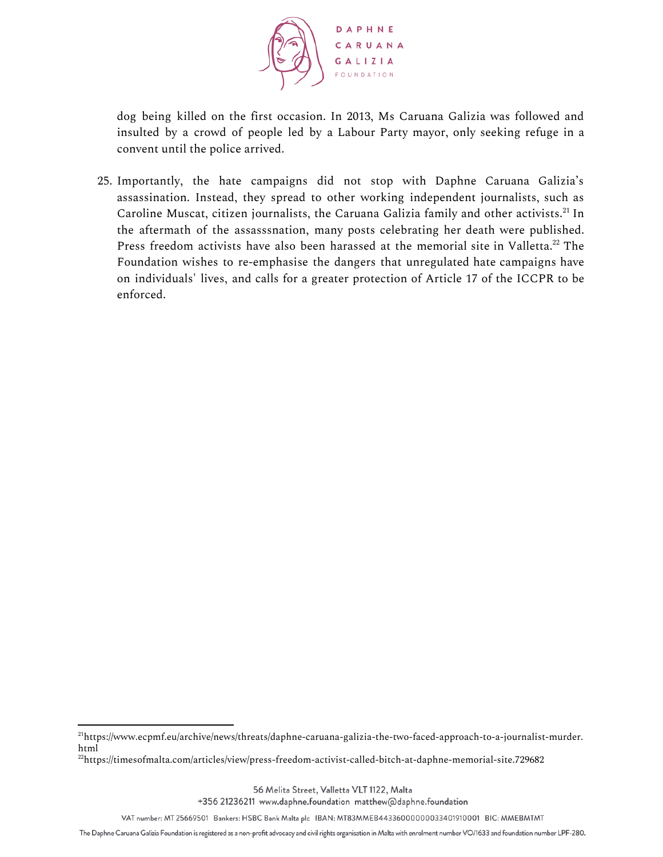

dog being killed on the first occasion. In 2013, Ms Caruana Galizia was followed and insulted by a crowd of people led by a Labour Party mayor, only seeking refuge in a convent until the police arrived.

25. Importantly, the hate campaigns did not stop with Daphne Caruana Galizia's assassination. Instead, they spread to other working independent journalists, such as Caroline Muscat, citizen journalists, the Caruana Galizia family and other activists.<sup>21</sup> In the aftermath of the assasssnation, many posts celebrating her death were published. Press freedom activists have also been harassed at the memorial site in Valletta. $^{22}$  The Foundation wishes to re-emphasise the dangers that unregulated hate campaigns have on individuals' lives, and calls for a greater protection of Article 17 of the ICCPR to be enforced.

56 Melita Street, Valletta VLT 1122, Malta

+356 21236211 www.daphne.foundation matthew@daphne.foundation

VAT number: MT 25669501 Bankers: HSBC Bank Malta plc IBAN: MT83MMEB44336000000033401910001 BIC: MMEBMTMT

<sup>21</sup>https://www.ecpmf.eu/archive/news/threats/daphne-caruana-galizia-the-two-faced-approach-to-a-journalist-murder. html

<sup>22</sup>https://timesofmalta.com/articles/view/press-freedom-activist-called-bitch-at-daphne-memorial-site.729682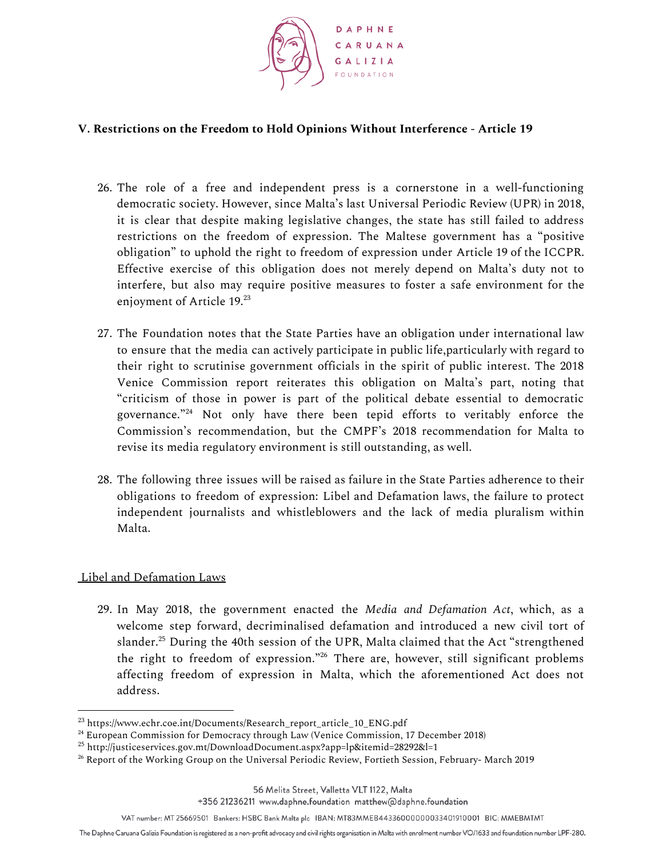

#### **V. Restrictions on the Freedom to Hold Opinions Without Interference - Article 19**

- 26. The role of a free and independent press is a cornerstone in a well-functioning democratic society. However, since Malta's last Universal Periodic Review (UPR) in 2018, it is clear that despite making legislative changes, the state has still failed to address restrictions on the freedom of expression. The Maltese government has a "positive obligation" to uphold the right to freedom of expression under Article 19 of the ICCPR. Effective exercise of this obligation does not merely depend on Malta's duty not to interfere, but also may require positive measures to foster a safe environment for the enjoyment of Article 19. 23
- 27. The Foundation notes that the State Parties have an obligation under international law to ensure that the media can actively participate in public life,particularly with regard to their right to scrutinise government officials in the spirit of public interest. The 2018 Venice Commission report reiterates this obligation on Malta's part, noting that "criticism of those in power is part of the political debate essential to democratic governance."<sup>24</sup> Not only have there been tepid efforts to veritably enforce the Commission's recommendation, but the CMPF's 2018 recommendation for Malta to revise its media regulatory environment is still outstanding, as well.
- 28. The following three issues will be raised as failure in the State Parties adherence to their obligations to freedom of expression: Libel and Defamation laws, the failure to protect independent journalists and whistleblowers and the lack of media pluralism within Malta.

#### Libel and Defamation Laws

29. In May 2018, the government enacted the *Media and Defamation Act*, which, as a welcome step forward, decriminalised defamation and introduced a new civil tort of slander. $^{25}$  During the 40th session of the UPR, Malta claimed that the Act "strengthened the right to freedom of expression."<sup>26</sup> There are, however, still significant problems affecting freedom of expression in Malta, which the aforementioned Act does not address.

+356 21236211 www.daphne.foundation matthew@daphne.foundation

<sup>23</sup> https://www.echr.coe.int/Documents/Research\_report\_article\_10\_ENG.pdf

<sup>24</sup> European Commission for Democracy through Law (Venice Commission, 17 December 2018)

 $^{25}$  http://justiceservices.gov.mt/DownloadDocument.aspx?app=lp&itemid=28292&l=1

<sup>&</sup>lt;sup>26</sup> Report of the Working Group on the Universal Periodic Review, Fortieth Session, February- March 2019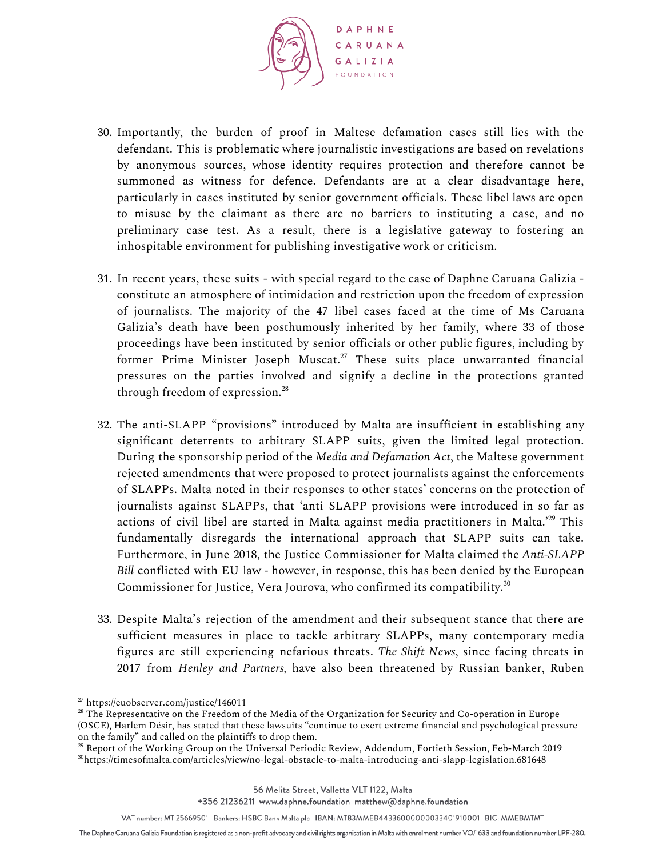

- 30. Importantly, the burden of proof in Maltese defamation cases still lies with the defendant. This is problematic where journalistic investigations are based on revelations by anonymous sources, whose identity requires protection and therefore cannot be summoned as witness for defence. Defendants are at a clear disadvantage here, particularly in cases instituted by senior government officials. These libel laws are open to misuse by the claimant as there are no barriers to instituting a case, and no preliminary case test. As a result, there is a legislative gateway to fostering an inhospitable environment for publishing investigative work or criticism.
- 31. In recent years, these suits with special regard to the case of Daphne Caruana Galizia constitute an atmosphere of intimidation and restriction upon the freedom of expression of journalists. The majority of the 47 libel cases faced at the time of Ms Caruana Galizia's death have been posthumously inherited by her family, where 33 of those proceedings have been instituted by senior officials or other public figures, including by former Prime Minister Joseph Muscat. $27$  These suits place unwarranted financial pressures on the parties involved and signify a decline in the protections granted through freedom of expression. 28
- 32. The anti-SLAPP "provisions" introduced by Malta are insufficient in establishing any significant deterrents to arbitrary SLAPP suits, given the limited legal protection. During the sponsorship period of the *Media and Defamation Act*, the Maltese government rejected amendments that were proposed to protect journalists against the enforcements of SLAPPs. Malta noted in their responses to other states' concerns on the protection of journalists against SLAPPs, that 'anti SLAPP provisions were introduced in so far as actions of civil libel are started in Malta against media practitioners in Malta.' $^{29}$  This fundamentally disregards the international approach that SLAPP suits can take. Furthermore, in June 2018, the Justice Commissioner for Malta claimed the *Anti-SLAPP Bill* conflicted with EU law - however, in response, this has been denied by the European Commissioner for Justice, Vera Jourova, who confirmed its compatibility. 30
- 33. Despite Malta's rejection of the amendment and their subsequent stance that there are sufficient measures in place to tackle arbitrary SLAPPs, many contemporary media figures are still experiencing nefarious threats. *The Shift News*, since facing threats in 2017 from *Henley and Partners,* have also been threatened by Russian banker, Ruben

<sup>27</sup> https://euobserver.com/justice/146011

<sup>&</sup>lt;sup>28</sup> The Representative on the Freedom of the Media of the Organization for Security and Co-operation in Europe (OSCE), Harlem Désir, has stated that these lawsuits "continue to exert extreme financial and psychological pressure on the family" and called on the plaintiffs to drop them.

<sup>&</sup>lt;sup>29</sup> Report of the Working Group on the Universal Periodic Review, Addendum, Fortieth Session, Feb-March 2019 <sup>30</sup>https://timesofmalta.com/articles/view/no-legal-obstacle-to-malta-introducing-anti-slapp-legislation.681648

The Daphne Caruana Galizia Foundation is registered as a non-profit advocacy and civil rights organisation in Malta with enrolment number VO/1633 and foundation number LPF-280.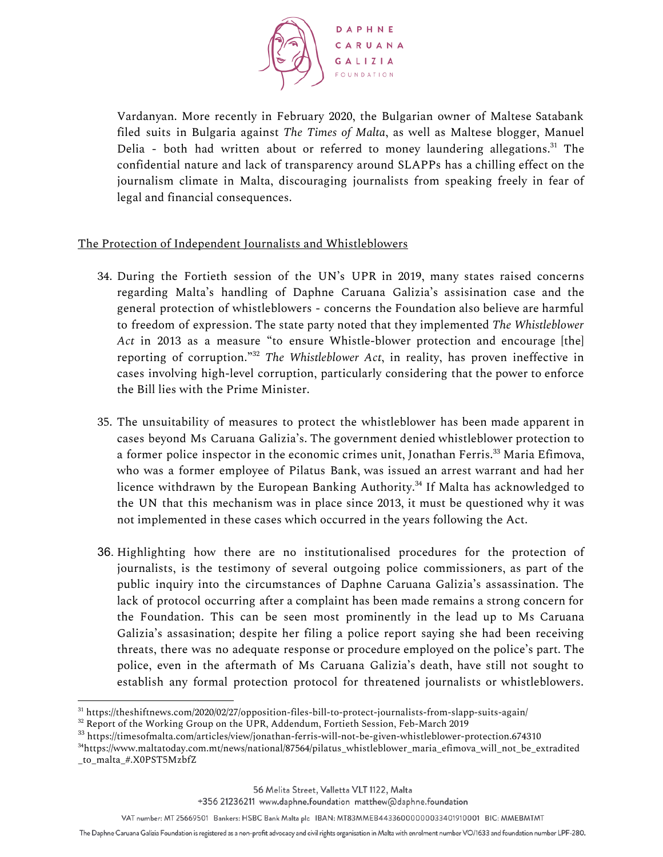

Vardanyan. More recently in February 2020, the Bulgarian owner of Maltese Satabank filed suits in Bulgaria against *The Times of Malta*, as well as Maltese blogger, Manuel Delia - both had written about or referred to money laundering allegations.<sup>31</sup> The confidential nature and lack of transparency around SLAPPs has a chilling effect on the journalism climate in Malta, discouraging journalists from speaking freely in fear of legal and financial consequences.

## The Protection of Independent Journalists and Whistleblowers

- 34. During the Fortieth session of the UN's UPR in 2019, many states raised concerns regarding Malta's handling of Daphne Caruana Galizia's assisination case and the general protection of whistleblowers - concerns the Foundation also believe are harmful to freedom of expression. The state party noted that they implemented *The Whistleblower Act* in 2013 as a measure "to ensure Whistle-blower protection and encourage [the] reporting of corruption."<sup>32</sup> The Whistleblower Act, in reality, has proven ineffective in cases involving high-level corruption, particularly considering that the power to enforce the Bill lies with the Prime Minister.
- 35. The unsuitability of measures to protect the whistleblower has been made apparent in cases beyond Ms Caruana Galizia's. The government denied whistleblower protection to a former police inspector in the economic crimes unit, Jonathan Ferris.<sup>33</sup> Maria Efimova, who was a former employee of Pilatus Bank, was issued an arrest warrant and had her licence withdrawn by the European Banking Authority.<sup>34</sup> If Malta has acknowledged to the UN that this mechanism was in place since 2013, it must be questioned why it was not implemented in these cases which occurred in the years following the Act.
- 36. Highlighting how there are no institutionalised procedures for the protection of journalists, is the testimony of several outgoing police commissioners, as part of the public inquiry into the circumstances of Daphne Caruana Galizia's assassination. The lack of protocol occurring after a complaint has been made remains a strong concern for the Foundation. This can be seen most prominently in the lead up to Ms Caruana Galizia's assasination; despite her filing a police report saying she had been receiving threats, there was no adequate response or procedure employed on the police's part. The police, even in the aftermath of Ms Caruana Galizia's death, have still not sought to establish any formal protection protocol for threatened journalists or whistleblowers.

<sup>31</sup> https://theshiftnews.com/2020/02/27/opposition-files-bill-to-protect-journalists-from-slapp-suits-again/

<sup>&</sup>lt;sup>32</sup> Report of the Working Group on the UPR, Addendum, Fortieth Session, Feb-March 2019

<sup>33</sup> https://timesofmalta.com/articles/view/jonathan-ferris-will-not-be-given-whistleblower-protection.674310

<sup>&</sup>lt;sup>34</sup>https://www.maltatoday.com.mt/news/national/87564/pilatus whistleblower maria efimova will not be extradited \_to\_malta\_#.X0PST5MzbfZ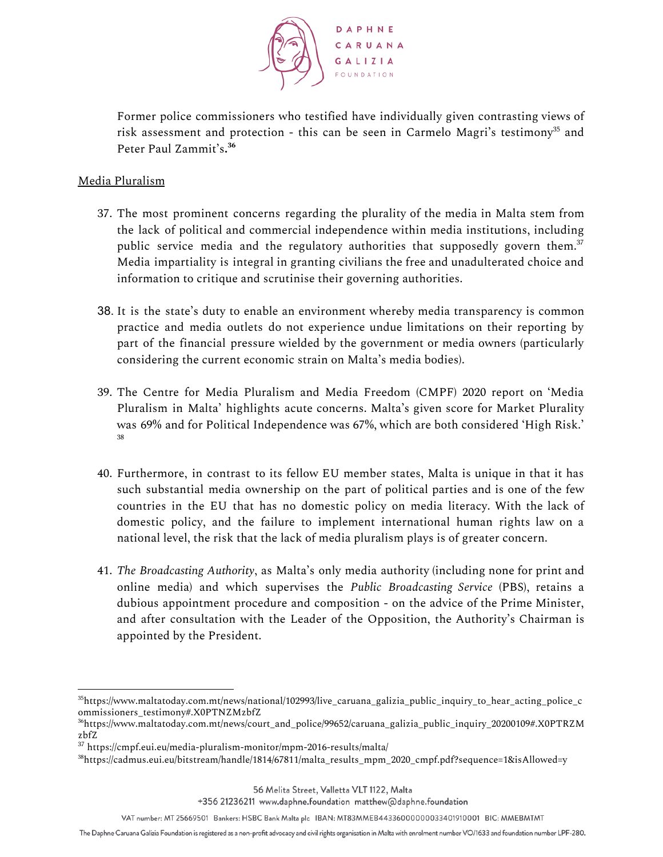

Former police commissioners who testified have individually given contrasting views of risk assessment and protection - this can be seen in Carmelo Magri's testimony $^{35}$  and Peter Paul Zammit's**. 36**

# Media Pluralism

- 37. The most prominent concerns regarding the plurality of the media in Malta stem from the lack of political and commercial independence within media institutions, including public service media and the regulatory authorities that supposedly govern them. 37 Media impartiality is integral in granting civilians the free and unadulterated choice and information to critique and scrutinise their governing authorities.
- 38. It is the state's duty to enable an environment whereby media transparency is common practice and media outlets do not experience undue limitations on their reporting by part of the financial pressure wielded by the government or media owners (particularly considering the current economic strain on Malta's media bodies).
- 39. The Centre for Media Pluralism and Media Freedom (CMPF) 2020 report on 'Media Pluralism in Malta' highlights acute concerns. Malta's given score for Market Plurality was 69% and for Political Independence was 67%, which are both considered 'High Risk.' 38
- 40. Furthermore, in contrast to its fellow EU member states, Malta is unique in that it has such substantial media ownership on the part of political parties and is one of the few countries in the EU that has no domestic policy on media literacy. With the lack of domestic policy, and the failure to implement international human rights law on a national level, the risk that the lack of media pluralism plays is of greater concern.
- 41. *The Broadcasting Authority*, as Malta's only media authority (including none for print and online media) and which supervises the *Public Broadcasting Service* (PBS), retains a dubious appointment procedure and composition - on the advice of the Prime Minister, and after consultation with the Leader of the Opposition, the Authority's Chairman is appointed by the President.

<sup>35</sup>https://www.maltatoday.com.mt/news/national/102993/live\_caruana\_galizia\_public\_inquiry\_to\_hear\_acting\_police\_c ommissioners\_testimony#.X0PTNZMzbfZ

<sup>36</sup>https://www.maltatoday.com.mt/news/court\_and\_police/99652/caruana\_galizia\_public\_inquiry\_20200109#.X0PTRZM zbfZ

<sup>37</sup> https://cmpf.eui.eu/media-pluralism-monitor/mpm-2016-results/malta/

<sup>38</sup>https://cadmus.eui.eu/bitstream/handle/1814/67811/malta\_results\_mpm\_2020\_cmpf.pdf?sequence=1&isAllowed=y